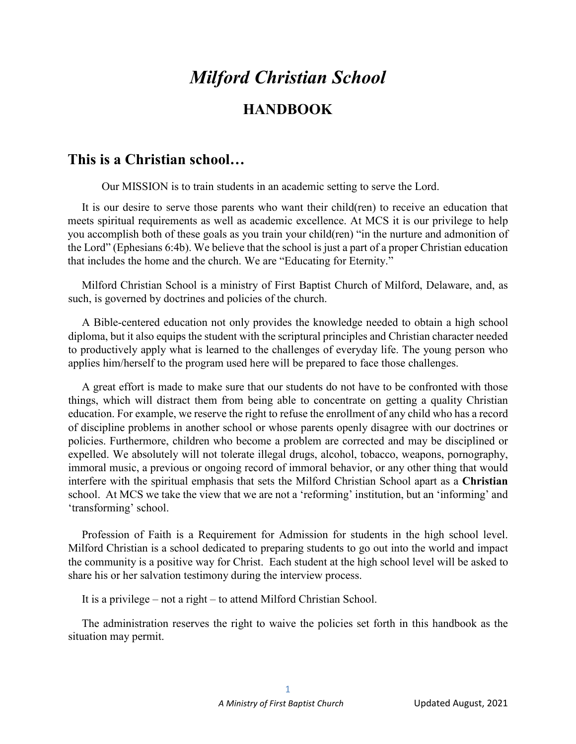# *Milford Christian School*

# **HANDBOOK**

# **This is a Christian school…**

Our MISSION is to train students in an academic setting to serve the Lord.

 It is our desire to serve those parents who want their child(ren) to receive an education that meets spiritual requirements as well as academic excellence. At MCS it is our privilege to help you accomplish both of these goals as you train your child(ren) "in the nurture and admonition of the Lord" (Ephesians 6:4b). We believe that the school is just a part of a proper Christian education that includes the home and the church. We are "Educating for Eternity."

 Milford Christian School is a ministry of First Baptist Church of Milford, Delaware, and, as such, is governed by doctrines and policies of the church.

 A Bible-centered education not only provides the knowledge needed to obtain a high school diploma, but it also equips the student with the scriptural principles and Christian character needed to productively apply what is learned to the challenges of everyday life. The young person who applies him/herself to the program used here will be prepared to face those challenges.

 A great effort is made to make sure that our students do not have to be confronted with those things, which will distract them from being able to concentrate on getting a quality Christian education. For example, we reserve the right to refuse the enrollment of any child who has a record of discipline problems in another school or whose parents openly disagree with our doctrines or policies. Furthermore, children who become a problem are corrected and may be disciplined or expelled. We absolutely will not tolerate illegal drugs, alcohol, tobacco, weapons, pornography, immoral music, a previous or ongoing record of immoral behavior, or any other thing that would interfere with the spiritual emphasis that sets the Milford Christian School apart as a **Christian** school. At MCS we take the view that we are not a 'reforming' institution, but an 'informing' and 'transforming' school.

 Profession of Faith is a Requirement for Admission for students in the high school level. Milford Christian is a school dedicated to preparing students to go out into the world and impact the community is a positive way for Christ. Each student at the high school level will be asked to share his or her salvation testimony during the interview process.

It is a privilege – not a right – to attend Milford Christian School.

 The administration reserves the right to waive the policies set forth in this handbook as the situation may permit.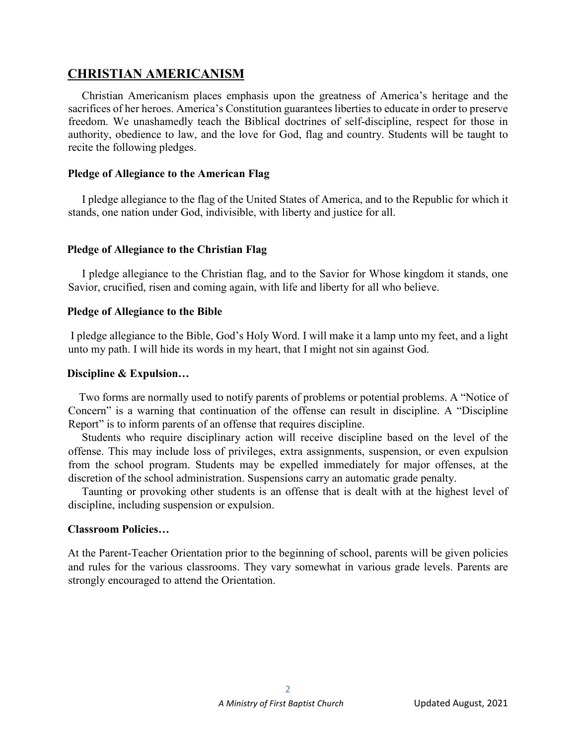# **CHRISTIAN AMERICANISM**

 Christian Americanism places emphasis upon the greatness of America's heritage and the sacrifices of her heroes. America's Constitution guarantees liberties to educate in order to preserve freedom. We unashamedly teach the Biblical doctrines of self-discipline, respect for those in authority, obedience to law, and the love for God, flag and country. Students will be taught to recite the following pledges.

#### **Pledge of Allegiance to the American Flag**

 I pledge allegiance to the flag of the United States of America, and to the Republic for which it stands, one nation under God, indivisible, with liberty and justice for all.

#### **Pledge of Allegiance to the Christian Flag**

 I pledge allegiance to the Christian flag, and to the Savior for Whose kingdom it stands, one Savior, crucified, risen and coming again, with life and liberty for all who believe.

#### **Pledge of Allegiance to the Bible**

I pledge allegiance to the Bible, God's Holy Word. I will make it a lamp unto my feet, and a light unto my path. I will hide its words in my heart, that I might not sin against God.

#### **Discipline & Expulsion…**

 Two forms are normally used to notify parents of problems or potential problems. A "Notice of Concern" is a warning that continuation of the offense can result in discipline. A "Discipline Report" is to inform parents of an offense that requires discipline.

 Students who require disciplinary action will receive discipline based on the level of the offense. This may include loss of privileges, extra assignments, suspension, or even expulsion from the school program. Students may be expelled immediately for major offenses, at the discretion of the school administration. Suspensions carry an automatic grade penalty.

 Taunting or provoking other students is an offense that is dealt with at the highest level of discipline, including suspension or expulsion.

#### **Classroom Policies…**

At the Parent-Teacher Orientation prior to the beginning of school, parents will be given policies and rules for the various classrooms. They vary somewhat in various grade levels. Parents are strongly encouraged to attend the Orientation.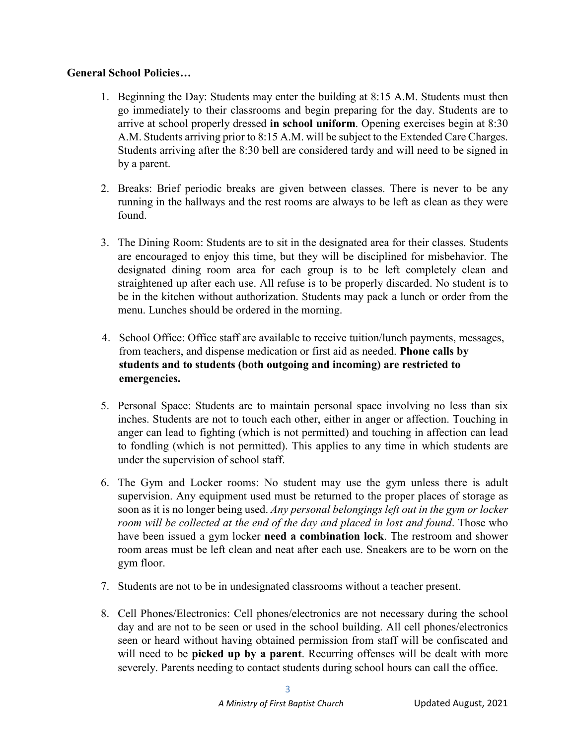# **General School Policies…**

- 1. Beginning the Day: Students may enter the building at 8:15 A.M. Students must then go immediately to their classrooms and begin preparing for the day. Students are to arrive at school properly dressed **in school uniform**. Opening exercises begin at 8:30 A.M. Students arriving prior to 8:15 A.M. will be subject to the Extended Care Charges. Students arriving after the 8:30 bell are considered tardy and will need to be signed in by a parent.
- 2. Breaks: Brief periodic breaks are given between classes. There is never to be any running in the hallways and the rest rooms are always to be left as clean as they were found.
- 3. The Dining Room: Students are to sit in the designated area for their classes. Students are encouraged to enjoy this time, but they will be disciplined for misbehavior. The designated dining room area for each group is to be left completely clean and straightened up after each use. All refuse is to be properly discarded. No student is to be in the kitchen without authorization. Students may pack a lunch or order from the menu. Lunches should be ordered in the morning.
- 4. School Office: Office staff are available to receive tuition/lunch payments, messages, from teachers, and dispense medication or first aid as needed. **Phone calls by students and to students (both outgoing and incoming) are restricted to emergencies.**
- 5. Personal Space: Students are to maintain personal space involving no less than six inches. Students are not to touch each other, either in anger or affection. Touching in anger can lead to fighting (which is not permitted) and touching in affection can lead to fondling (which is not permitted). This applies to any time in which students are under the supervision of school staff.
- 6. The Gym and Locker rooms: No student may use the gym unless there is adult supervision. Any equipment used must be returned to the proper places of storage as soon as it is no longer being used. *Any personal belongings left out in the gym or locker room will be collected at the end of the day and placed in lost and found*. Those who have been issued a gym locker **need a combination lock**. The restroom and shower room areas must be left clean and neat after each use. Sneakers are to be worn on the gym floor.
- 7. Students are not to be in undesignated classrooms without a teacher present.
- 8. Cell Phones/Electronics: Cell phones/electronics are not necessary during the school day and are not to be seen or used in the school building. All cell phones/electronics seen or heard without having obtained permission from staff will be confiscated and will need to be **picked up by a parent**. Recurring offenses will be dealt with more severely. Parents needing to contact students during school hours can call the office.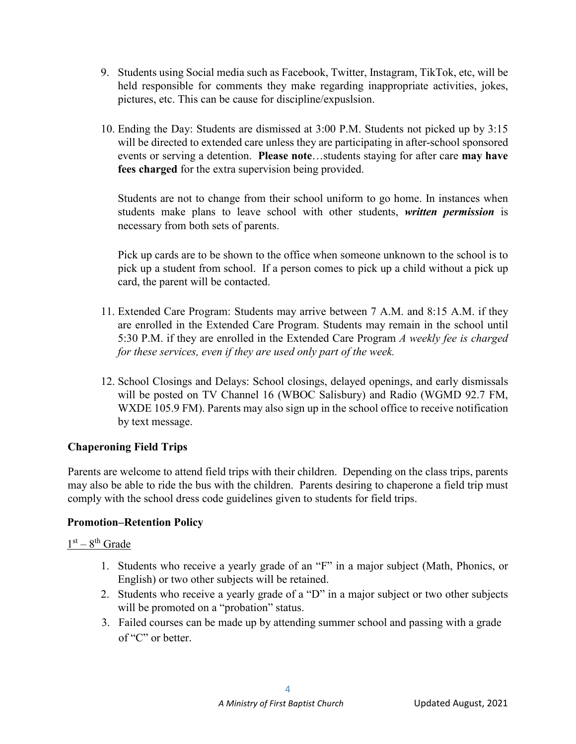- 9. Students using Social media such as Facebook, Twitter, Instagram, TikTok, etc, will be held responsible for comments they make regarding inappropriate activities, jokes, pictures, etc. This can be cause for discipline/expuslsion.
- 10. Ending the Day: Students are dismissed at 3:00 P.M. Students not picked up by 3:15 will be directed to extended care unless they are participating in after-school sponsored events or serving a detention. **Please note**…students staying for after care **may have fees charged** for the extra supervision being provided.

Students are not to change from their school uniform to go home. In instances when students make plans to leave school with other students, *written permission* is necessary from both sets of parents.

Pick up cards are to be shown to the office when someone unknown to the school is to pick up a student from school. If a person comes to pick up a child without a pick up card, the parent will be contacted.

- 11. Extended Care Program: Students may arrive between 7 A.M. and 8:15 A.M. if they are enrolled in the Extended Care Program. Students may remain in the school until 5:30 P.M. if they are enrolled in the Extended Care Program *A weekly fee is charged for these services, even if they are used only part of the week.*
- 12. School Closings and Delays: School closings, delayed openings, and early dismissals will be posted on TV Channel 16 (WBOC Salisbury) and Radio (WGMD 92.7 FM, WXDE 105.9 FM). Parents may also sign up in the school office to receive notification by text message.

# **Chaperoning Field Trips**

Parents are welcome to attend field trips with their children. Depending on the class trips, parents may also be able to ride the bus with the children. Parents desiring to chaperone a field trip must comply with the school dress code guidelines given to students for field trips.

# **Promotion–Retention Policy**

# $1<sup>st</sup> - 8<sup>th</sup>$  Grade

- 1. Students who receive a yearly grade of an "F" in a major subject (Math, Phonics, or English) or two other subjects will be retained.
- 2. Students who receive a yearly grade of a "D" in a major subject or two other subjects will be promoted on a "probation" status.
- 3. Failed courses can be made up by attending summer school and passing with a grade of "C" or better.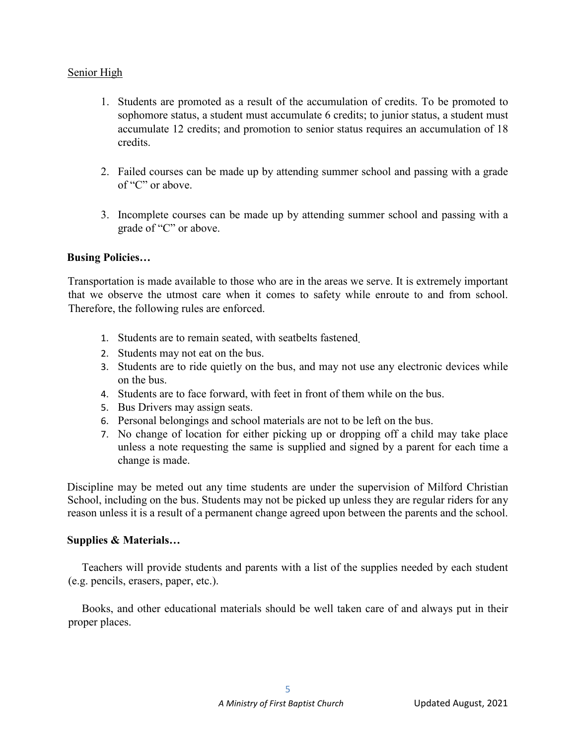#### Senior High

- 1. Students are promoted as a result of the accumulation of credits. To be promoted to sophomore status, a student must accumulate 6 credits; to junior status, a student must accumulate 12 credits; and promotion to senior status requires an accumulation of 18 credits.
- 2. Failed courses can be made up by attending summer school and passing with a grade of "C" or above.
- 3. Incomplete courses can be made up by attending summer school and passing with a grade of "C" or above.

#### **Busing Policies…**

Transportation is made available to those who are in the areas we serve. It is extremely important that we observe the utmost care when it comes to safety while enroute to and from school. Therefore, the following rules are enforced.

- 1. Students are to remain seated, with seatbelts fastened.
- 2. Students may not eat on the bus.
- 3. Students are to ride quietly on the bus, and may not use any electronic devices while on the bus.
- 4. Students are to face forward, with feet in front of them while on the bus.
- 5. Bus Drivers may assign seats.
- 6. Personal belongings and school materials are not to be left on the bus.
- 7. No change of location for either picking up or dropping off a child may take place unless a note requesting the same is supplied and signed by a parent for each time a change is made.

Discipline may be meted out any time students are under the supervision of Milford Christian School, including on the bus. Students may not be picked up unless they are regular riders for any reason unless it is a result of a permanent change agreed upon between the parents and the school.

#### **Supplies & Materials…**

Teachers will provide students and parents with a list of the supplies needed by each student (e.g. pencils, erasers, paper, etc.).

 Books, and other educational materials should be well taken care of and always put in their proper places.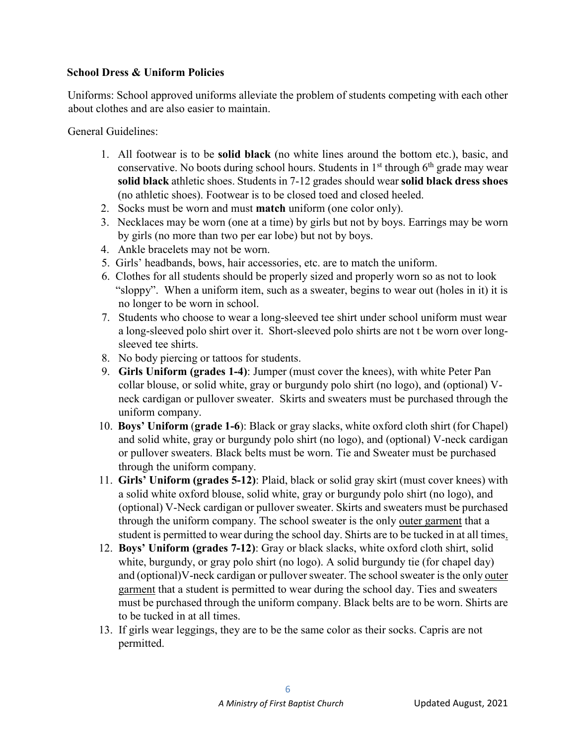# **School Dress & Uniform Policies**

Uniforms: School approved uniforms alleviate the problem of students competing with each other about clothes and are also easier to maintain.

General Guidelines:

- 1. All footwear is to be **solid black** (no white lines around the bottom etc.), basic, and conservative. No boots during school hours. Students in  $1<sup>st</sup>$  through  $6<sup>th</sup>$  grade may wear **solid black** athletic shoes. Students in 7-12 grades should wear **solid black dress shoes** (no athletic shoes). Footwear is to be closed toed and closed heeled.
- 2. Socks must be worn and must **match** uniform (one color only).
- 3. Necklaces may be worn (one at a time) by girls but not by boys. Earrings may be worn by girls (no more than two per ear lobe) but not by boys.
- 4. Ankle bracelets may not be worn.
- 5. Girls' headbands, bows, hair accessories, etc. are to match the uniform.
- 6. Clothes for all students should be properly sized and properly worn so as not to look "sloppy". When a uniform item, such as a sweater, begins to wear out (holes in it) it is no longer to be worn in school.
- 7. Students who choose to wear a long-sleeved tee shirt under school uniform must wear a long-sleeved polo shirt over it. Short-sleeved polo shirts are not t be worn over long sleeved tee shirts.
- 8. No body piercing or tattoos for students.
- 9. **Girls Uniform (grades 1-4)**: Jumper (must cover the knees), with white Peter Pan collar blouse, or solid white, gray or burgundy polo shirt (no logo), and (optional) V neck cardigan or pullover sweater. Skirts and sweaters must be purchased through the uniform company.
- 10. **Boys' Uniform** (**grade 1-6**): Black or gray slacks, white oxford cloth shirt (for Chapel) and solid white, gray or burgundy polo shirt (no logo), and (optional) V-neck cardigan or pullover sweaters. Black belts must be worn. Tie and Sweater must be purchased through the uniform company.
- 11. **Girls' Uniform (grades 5-12)**: Plaid, black or solid gray skirt (must cover knees) with a solid white oxford blouse, solid white, gray or burgundy polo shirt (no logo), and (optional) V-Neck cardigan or pullover sweater. Skirts and sweaters must be purchased through the uniform company. The school sweater is the only outer garment that a student is permitted to wear during the school day. Shirts are to be tucked in at all times.
- 12. **Boys' Uniform (grades 7-12)**: Gray or black slacks, white oxford cloth shirt, solid white, burgundy, or gray polo shirt (no logo). A solid burgundy tie (for chapel day) and (optional)V-neck cardigan or pullover sweater. The school sweater is the only outer garment that a student is permitted to wear during the school day. Ties and sweaters must be purchased through the uniform company. Black belts are to be worn. Shirts are to be tucked in at all times.
- 13. If girls wear leggings, they are to be the same color as their socks. Capris are not permitted.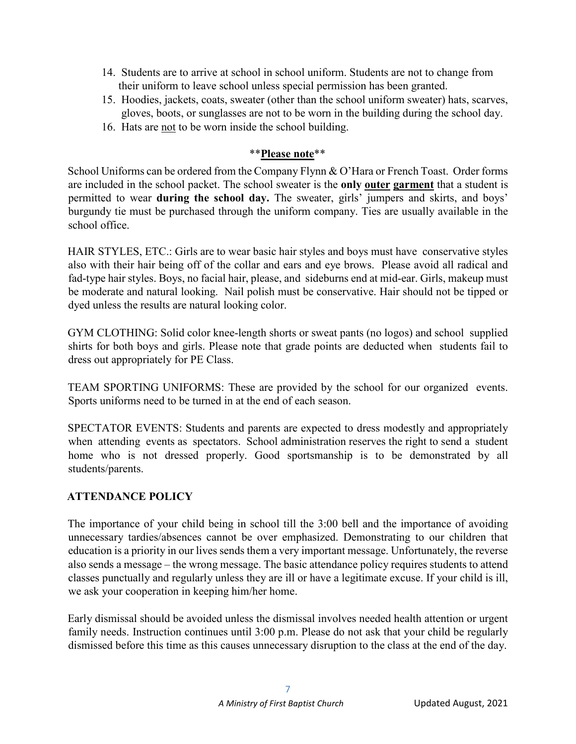- 14. Students are to arrive at school in school uniform. Students are not to change from their uniform to leave school unless special permission has been granted.
- 15. Hoodies, jackets, coats, sweater (other than the school uniform sweater) hats, scarves, gloves, boots, or sunglasses are not to be worn in the building during the school day.
- 16. Hats are not to be worn inside the school building.

# \*\***Please note**\*\*

School Uniforms can be ordered from the Company Flynn & O'Hara or French Toast. Order forms are included in the school packet. The school sweater is the **only outer garment** that a student is permitted to wear **during the school day.** The sweater, girls' jumpers and skirts, and boys' burgundy tie must be purchased through the uniform company. Ties are usually available in the school office.

HAIR STYLES, ETC.: Girls are to wear basic hair styles and boys must have conservative styles also with their hair being off of the collar and ears and eye brows. Please avoid all radical and fad-type hair styles. Boys, no facial hair, please, and sideburns end at mid-ear. Girls, makeup must be moderate and natural looking. Nail polish must be conservative. Hair should not be tipped or dyed unless the results are natural looking color.

GYM CLOTHING: Solid color knee-length shorts or sweat pants (no logos) and school supplied shirts for both boys and girls. Please note that grade points are deducted when students fail to dress out appropriately for PE Class.

TEAM SPORTING UNIFORMS: These are provided by the school for our organized events. Sports uniforms need to be turned in at the end of each season.

SPECTATOR EVENTS: Students and parents are expected to dress modestly and appropriately when attending events as spectators. School administration reserves the right to send a student home who is not dressed properly. Good sportsmanship is to be demonstrated by all students/parents.

# **ATTENDANCE POLICY**

The importance of your child being in school till the 3:00 bell and the importance of avoiding unnecessary tardies/absences cannot be over emphasized. Demonstrating to our children that education is a priority in our lives sends them a very important message. Unfortunately, the reverse also sends a message – the wrong message. The basic attendance policy requires students to attend classes punctually and regularly unless they are ill or have a legitimate excuse. If your child is ill, we ask your cooperation in keeping him/her home.

Early dismissal should be avoided unless the dismissal involves needed health attention or urgent family needs. Instruction continues until 3:00 p.m. Please do not ask that your child be regularly dismissed before this time as this causes unnecessary disruption to the class at the end of the day.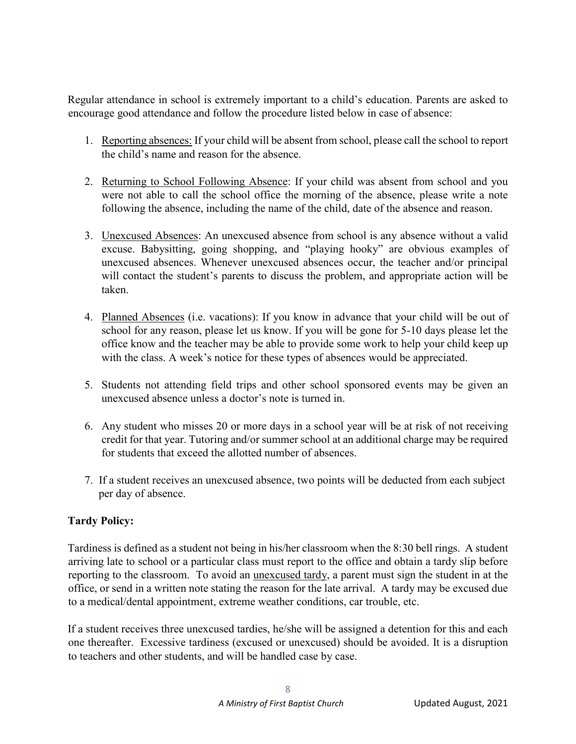Regular attendance in school is extremely important to a child's education. Parents are asked to encourage good attendance and follow the procedure listed below in case of absence:

- 1. Reporting absences: If your child will be absent from school, please call the school to report the child's name and reason for the absence.
- 2. Returning to School Following Absence: If your child was absent from school and you were not able to call the school office the morning of the absence, please write a note following the absence, including the name of the child, date of the absence and reason.
- 3. Unexcused Absences: An unexcused absence from school is any absence without a valid excuse. Babysitting, going shopping, and "playing hooky" are obvious examples of unexcused absences. Whenever unexcused absences occur, the teacher and/or principal will contact the student's parents to discuss the problem, and appropriate action will be taken.
- 4. Planned Absences (i.e. vacations): If you know in advance that your child will be out of school for any reason, please let us know. If you will be gone for 5-10 days please let the office know and the teacher may be able to provide some work to help your child keep up with the class. A week's notice for these types of absences would be appreciated.
- 5. Students not attending field trips and other school sponsored events may be given an unexcused absence unless a doctor's note is turned in.
- 6. Any student who misses 20 or more days in a school year will be at risk of not receiving credit for that year. Tutoring and/or summer school at an additional charge may be required for students that exceed the allotted number of absences.
- 7. If a student receives an unexcused absence, two points will be deducted from each subject per day of absence.

# **Tardy Policy:**

Tardiness is defined as a student not being in his/her classroom when the 8:30 bell rings. A student arriving late to school or a particular class must report to the office and obtain a tardy slip before reporting to the classroom. To avoid an unexcused tardy, a parent must sign the student in at the office, or send in a written note stating the reason for the late arrival. A tardy may be excused due to a medical/dental appointment, extreme weather conditions, car trouble, etc.

If a student receives three unexcused tardies, he/she will be assigned a detention for this and each one thereafter. Excessive tardiness (excused or unexcused) should be avoided. It is a disruption to teachers and other students, and will be handled case by case.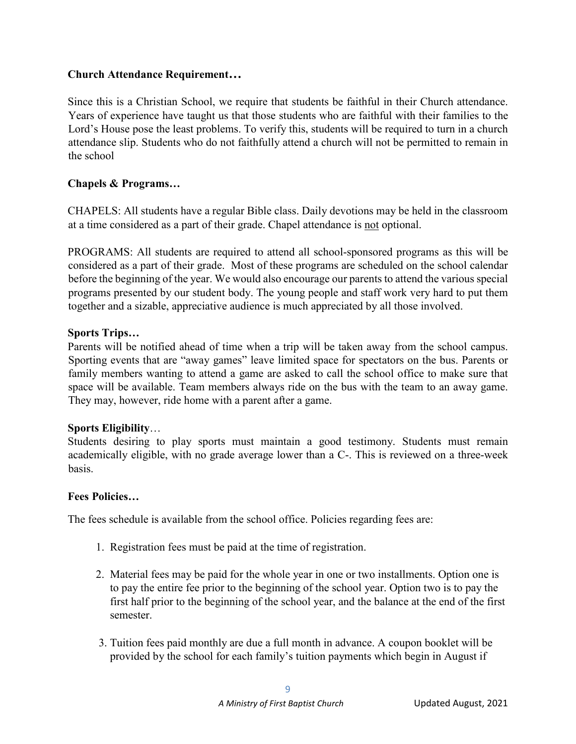#### **Church Attendance Requirement…**

Since this is a Christian School, we require that students be faithful in their Church attendance. Years of experience have taught us that those students who are faithful with their families to the Lord's House pose the least problems. To verify this, students will be required to turn in a church attendance slip. Students who do not faithfully attend a church will not be permitted to remain in the school

# **Chapels & Programs…**

CHAPELS: All students have a regular Bible class. Daily devotions may be held in the classroom at a time considered as a part of their grade. Chapel attendance is not optional.

PROGRAMS: All students are required to attend all school-sponsored programs as this will be considered as a part of their grade. Most of these programs are scheduled on the school calendar before the beginning of the year. We would also encourage our parents to attend the various special programs presented by our student body. The young people and staff work very hard to put them together and a sizable, appreciative audience is much appreciated by all those involved.

#### **Sports Trips…**

Parents will be notified ahead of time when a trip will be taken away from the school campus. Sporting events that are "away games" leave limited space for spectators on the bus. Parents or family members wanting to attend a game are asked to call the school office to make sure that space will be available. Team members always ride on the bus with the team to an away game. They may, however, ride home with a parent after a game.

# **Sports Eligibility**…

Students desiring to play sports must maintain a good testimony. Students must remain academically eligible, with no grade average lower than a C-. This is reviewed on a three-week basis.

#### **Fees Policies…**

The fees schedule is available from the school office. Policies regarding fees are:

- 1. Registration fees must be paid at the time of registration.
- 2. Material fees may be paid for the whole year in one or two installments. Option one is to pay the entire fee prior to the beginning of the school year. Option two is to pay the first half prior to the beginning of the school year, and the balance at the end of the first semester.
- 3. Tuition fees paid monthly are due a full month in advance. A coupon booklet will be provided by the school for each family's tuition payments which begin in August if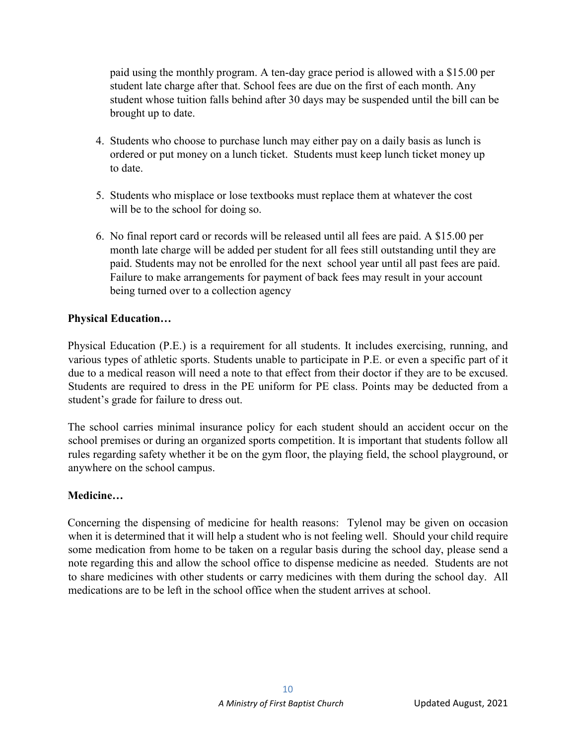paid using the monthly program. A ten-day grace period is allowed with a \$15.00 per student late charge after that. School fees are due on the first of each month. Any student whose tuition falls behind after 30 days may be suspended until the bill can be brought up to date.

- 4. Students who choose to purchase lunch may either pay on a daily basis as lunch is ordered or put money on a lunch ticket. Students must keep lunch ticket money up to date.
- 5. Students who misplace or lose textbooks must replace them at whatever the cost will be to the school for doing so.
- 6. No final report card or records will be released until all fees are paid. A \$15.00 per month late charge will be added per student for all fees still outstanding until they are paid. Students may not be enrolled for the next school year until all past fees are paid. Failure to make arrangements for payment of back fees may result in your account being turned over to a collection agency

# **Physical Education…**

Physical Education (P.E.) is a requirement for all students. It includes exercising, running, and various types of athletic sports. Students unable to participate in P.E. or even a specific part of it due to a medical reason will need a note to that effect from their doctor if they are to be excused. Students are required to dress in the PE uniform for PE class. Points may be deducted from a student's grade for failure to dress out.

The school carries minimal insurance policy for each student should an accident occur on the school premises or during an organized sports competition. It is important that students follow all rules regarding safety whether it be on the gym floor, the playing field, the school playground, or anywhere on the school campus.

# **Medicine…**

Concerning the dispensing of medicine for health reasons: Tylenol may be given on occasion when it is determined that it will help a student who is not feeling well. Should your child require some medication from home to be taken on a regular basis during the school day, please send a note regarding this and allow the school office to dispense medicine as needed. Students are not to share medicines with other students or carry medicines with them during the school day. All medications are to be left in the school office when the student arrives at school.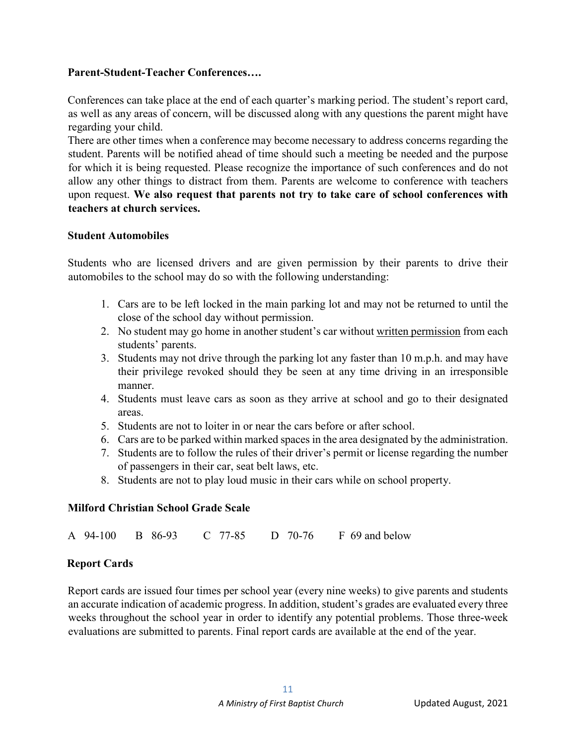#### **Parent-Student-Teacher Conferences….**

Conferences can take place at the end of each quarter's marking period. The student's report card, as well as any areas of concern, will be discussed along with any questions the parent might have regarding your child.

There are other times when a conference may become necessary to address concerns regarding the student. Parents will be notified ahead of time should such a meeting be needed and the purpose for which it is being requested. Please recognize the importance of such conferences and do not allow any other things to distract from them. Parents are welcome to conference with teachers upon request. **We also request that parents not try to take care of school conferences with teachers at church services.** 

#### **Student Automobiles**

Students who are licensed drivers and are given permission by their parents to drive their automobiles to the school may do so with the following understanding:

- 1. Cars are to be left locked in the main parking lot and may not be returned to until the close of the school day without permission.
- 2. No student may go home in another student's car without written permission from each students' parents.
- 3. Students may not drive through the parking lot any faster than 10 m.p.h. and may have their privilege revoked should they be seen at any time driving in an irresponsible manner.
- 4. Students must leave cars as soon as they arrive at school and go to their designated areas.
- 5. Students are not to loiter in or near the cars before or after school.
- 6. Cars are to be parked within marked spaces in the area designated by the administration.
- 7. Students are to follow the rules of their driver's permit or license regarding the number of passengers in their car, seat belt laws, etc.
- 8. Students are not to play loud music in their cars while on school property.

# **Milford Christian School Grade Scale**

| A 94-100 | B 86-93 | $C$ 77-85 | D 70-76 | F 69 and below |
|----------|---------|-----------|---------|----------------|
|          |         |           |         |                |

# **Report Cards**

Report cards are issued four times per school year (every nine weeks) to give parents and students an accurate indication of academic progress. In addition, student's grades are evaluated every three weeks throughout the school year in order to identify any potential problems. Those three-week evaluations are submitted to parents. Final report cards are available at the end of the year.